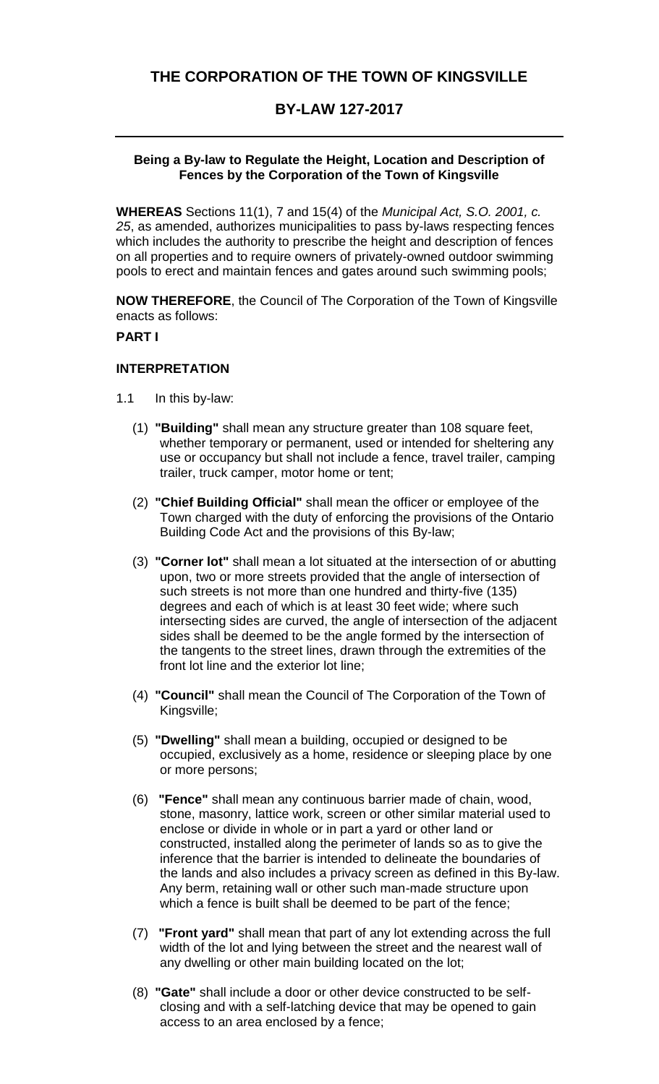# **BY-LAW 127-2017**

### **Being a By-law to Regulate the Height, Location and Description of Fences by the Corporation of the Town of Kingsville**

**WHEREAS** Sections 11(1), 7 and 15(4) of the *Municipal Act, S.O. 2001, c. 25*, as amended, authorizes municipalities to pass by-laws respecting fences which includes the authority to prescribe the height and description of fences on all properties and to require owners of privately-owned outdoor swimming pools to erect and maintain fences and gates around such swimming pools;

**NOW THEREFORE**, the Council of The Corporation of the Town of Kingsville enacts as follows:

#### **PART I**

#### **INTERPRETATION**

- 1.1 In this by-law:
	- (1) **"Building"** shall mean any structure greater than 108 square feet, whether temporary or permanent, used or intended for sheltering any use or occupancy but shall not include a fence, travel trailer, camping trailer, truck camper, motor home or tent;
	- (2) **"Chief Building Official"** shall mean the officer or employee of the Town charged with the duty of enforcing the provisions of the Ontario Building Code Act and the provisions of this By-law;
	- (3) **"Corner lot"** shall mean a lot situated at the intersection of or abutting upon, two or more streets provided that the angle of intersection of such streets is not more than one hundred and thirty-five (135) degrees and each of which is at least 30 feet wide; where such intersecting sides are curved, the angle of intersection of the adjacent sides shall be deemed to be the angle formed by the intersection of the tangents to the street lines, drawn through the extremities of the front lot line and the exterior lot line;
	- (4) **"Council"** shall mean the Council of The Corporation of the Town of Kingsville;
	- (5) **"Dwelling"** shall mean a building, occupied or designed to be occupied, exclusively as a home, residence or sleeping place by one or more persons;
	- (6) **"Fence"** shall mean any continuous barrier made of chain, wood, stone, masonry, lattice work, screen or other similar material used to enclose or divide in whole or in part a yard or other land or constructed, installed along the perimeter of lands so as to give the inference that the barrier is intended to delineate the boundaries of the lands and also includes a privacy screen as defined in this By-law. Any berm, retaining wall or other such man-made structure upon which a fence is built shall be deemed to be part of the fence;
	- (7) **"Front yard"** shall mean that part of any lot extending across the full width of the lot and lying between the street and the nearest wall of any dwelling or other main building located on the lot;
	- (8) **"Gate"** shall include a door or other device constructed to be selfclosing and with a self-latching device that may be opened to gain access to an area enclosed by a fence;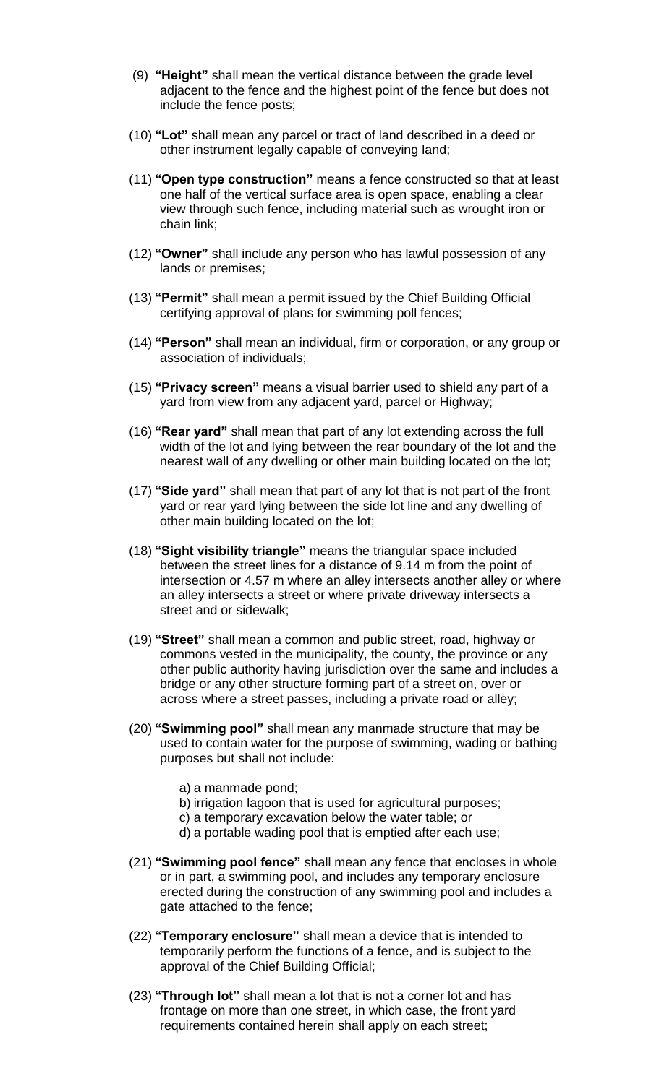- (9) **"Height"** shall mean the vertical distance between the grade level adjacent to the fence and the highest point of the fence but does not include the fence posts;
- (10) **"Lot"** shall mean any parcel or tract of land described in a deed or other instrument legally capable of conveying land;
- (11) **"Open type construction"** means a fence constructed so that at least one half of the vertical surface area is open space, enabling a clear view through such fence, including material such as wrought iron or chain link;
- (12) **"Owner"** shall include any person who has lawful possession of any lands or premises;
- (13) **"Permit"** shall mean a permit issued by the Chief Building Official certifying approval of plans for swimming poll fences;
- (14) **"Person"** shall mean an individual, firm or corporation, or any group or association of individuals;
- (15) **"Privacy screen"** means a visual barrier used to shield any part of a yard from view from any adjacent yard, parcel or Highway;
- (16) **"Rear yard"** shall mean that part of any lot extending across the full width of the lot and lying between the rear boundary of the lot and the nearest wall of any dwelling or other main building located on the lot;
- (17) **"Side yard"** shall mean that part of any lot that is not part of the front yard or rear yard lying between the side lot line and any dwelling of other main building located on the lot;
- (18) **"Sight visibility triangle"** means the triangular space included between the street lines for a distance of 9.14 m from the point of intersection or 4.57 m where an alley intersects another alley or where an alley intersects a street or where private driveway intersects a street and or sidewalk;
- (19) **"Street"** shall mean a common and public street, road, highway or commons vested in the municipality, the county, the province or any other public authority having jurisdiction over the same and includes a bridge or any other structure forming part of a street on, over or across where a street passes, including a private road or alley;
- (20) **"Swimming pool"** shall mean any manmade structure that may be used to contain water for the purpose of swimming, wading or bathing purposes but shall not include:
	- a) a manmade pond;
	- b) irrigation lagoon that is used for agricultural purposes;
	- c) a temporary excavation below the water table; or
	- d) a portable wading pool that is emptied after each use;
- (21) **"Swimming pool fence"** shall mean any fence that encloses in whole or in part, a swimming pool, and includes any temporary enclosure erected during the construction of any swimming pool and includes a gate attached to the fence;
- (22) **"Temporary enclosure"** shall mean a device that is intended to temporarily perform the functions of a fence, and is subject to the approval of the Chief Building Official;
- (23) **"Through lot"** shall mean a lot that is not a corner lot and has frontage on more than one street, in which case, the front yard requirements contained herein shall apply on each street;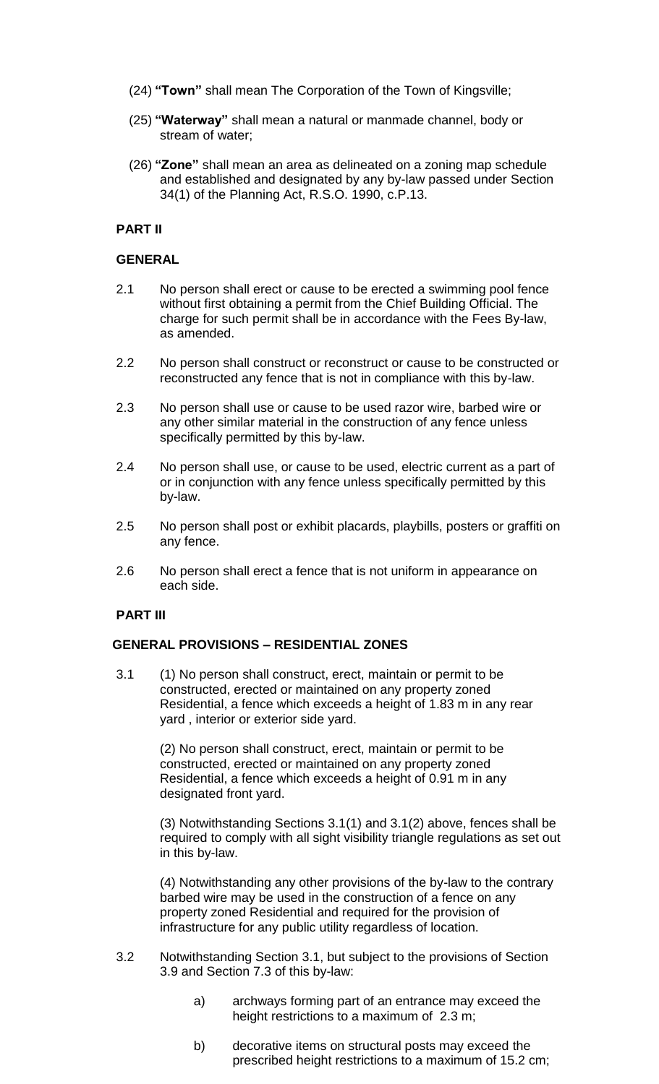- (24) **"Town"** shall mean The Corporation of the Town of Kingsville;
- (25) **"Waterway"** shall mean a natural or manmade channel, body or stream of water;
- (26) **"Zone"** shall mean an area as delineated on a zoning map schedule and established and designated by any by-law passed under Section 34(1) of the Planning Act, R.S.O. 1990, c.P.13.

### **PART II**

#### **GENERAL**

- 2.1 No person shall erect or cause to be erected a swimming pool fence without first obtaining a permit from the Chief Building Official. The charge for such permit shall be in accordance with the Fees By-law, as amended.
- 2.2 No person shall construct or reconstruct or cause to be constructed or reconstructed any fence that is not in compliance with this by-law.
- 2.3 No person shall use or cause to be used razor wire, barbed wire or any other similar material in the construction of any fence unless specifically permitted by this by-law.
- 2.4 No person shall use, or cause to be used, electric current as a part of or in conjunction with any fence unless specifically permitted by this by-law.
- 2.5 No person shall post or exhibit placards, playbills, posters or graffiti on any fence.
- 2.6 No person shall erect a fence that is not uniform in appearance on each side.

#### **PART III**

#### **GENERAL PROVISIONS – RESIDENTIAL ZONES**

3.1 (1) No person shall construct, erect, maintain or permit to be constructed, erected or maintained on any property zoned Residential, a fence which exceeds a height of 1.83 m in any rear yard , interior or exterior side yard.

> (2) No person shall construct, erect, maintain or permit to be constructed, erected or maintained on any property zoned Residential, a fence which exceeds a height of 0.91 m in any designated front yard.

(3) Notwithstanding Sections 3.1(1) and 3.1(2) above, fences shall be required to comply with all sight visibility triangle regulations as set out in this by-law.

(4) Notwithstanding any other provisions of the by-law to the contrary barbed wire may be used in the construction of a fence on any property zoned Residential and required for the provision of infrastructure for any public utility regardless of location.

- 3.2 Notwithstanding Section 3.1, but subject to the provisions of Section 3.9 and Section 7.3 of this by-law:
	- a) archways forming part of an entrance may exceed the height restrictions to a maximum of 2.3 m;
	- b) decorative items on structural posts may exceed the prescribed height restrictions to a maximum of 15.2 cm;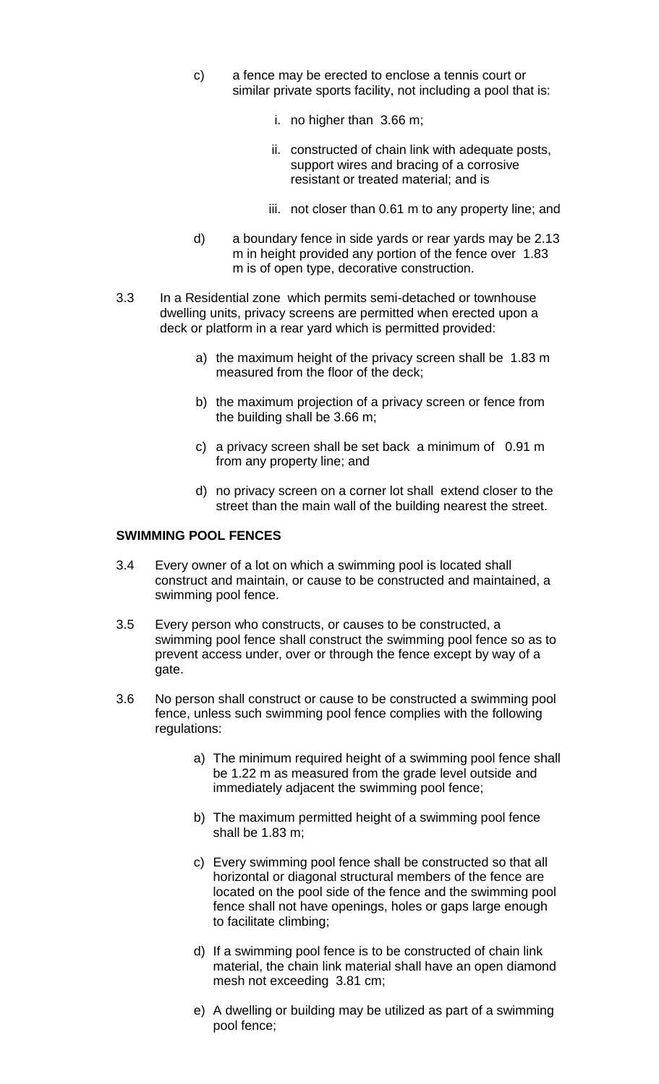- c) a fence may be erected to enclose a tennis court or similar private sports facility, not including a pool that is:
	- i. no higher than 3.66 m;
	- ii. constructed of chain link with adequate posts, support wires and bracing of a corrosive resistant or treated material; and is
	- iii. not closer than 0.61 m to any property line; and
- d) a boundary fence in side yards or rear yards may be 2.13 m in height provided any portion of the fence over 1.83 m is of open type, decorative construction.
- 3.3 In a Residential zone which permits semi-detached or townhouse dwelling units, privacy screens are permitted when erected upon a deck or platform in a rear yard which is permitted provided:
	- a) the maximum height of the privacy screen shall be 1.83 m measured from the floor of the deck;
	- b) the maximum projection of a privacy screen or fence from the building shall be 3.66 m;
	- c) a privacy screen shall be set back a minimum of 0.91 m from any property line; and
	- d) no privacy screen on a corner lot shall extend closer to the street than the main wall of the building nearest the street.

#### **SWIMMING POOL FENCES**

- 3.4 Every owner of a lot on which a swimming pool is located shall construct and maintain, or cause to be constructed and maintained, a swimming pool fence.
- 3.5 Every person who constructs, or causes to be constructed, a swimming pool fence shall construct the swimming pool fence so as to prevent access under, over or through the fence except by way of a gate.
- 3.6 No person shall construct or cause to be constructed a swimming pool fence, unless such swimming pool fence complies with the following regulations:
	- a) The minimum required height of a swimming pool fence shall be 1.22 m as measured from the grade level outside and immediately adjacent the swimming pool fence;
	- b) The maximum permitted height of a swimming pool fence shall be 1.83 m;
	- c) Every swimming pool fence shall be constructed so that all horizontal or diagonal structural members of the fence are located on the pool side of the fence and the swimming pool fence shall not have openings, holes or gaps large enough to facilitate climbing;
	- d) If a swimming pool fence is to be constructed of chain link material, the chain link material shall have an open diamond mesh not exceeding 3.81 cm;
	- e) A dwelling or building may be utilized as part of a swimming pool fence;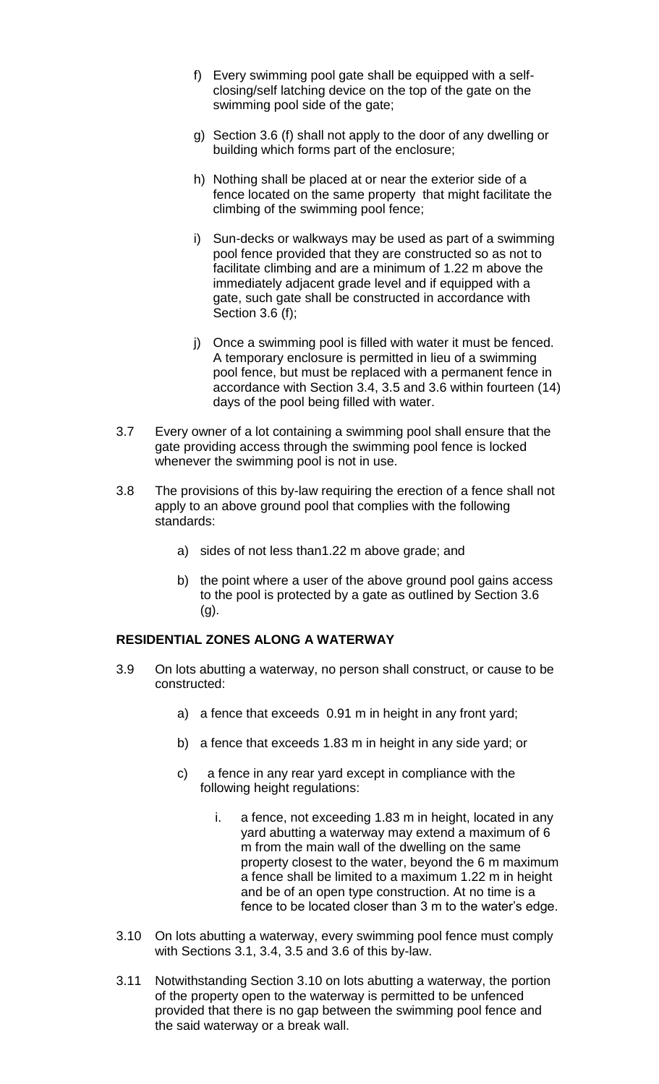- f) Every swimming pool gate shall be equipped with a selfclosing/self latching device on the top of the gate on the swimming pool side of the gate;
- g) Section 3.6 (f) shall not apply to the door of any dwelling or building which forms part of the enclosure;
- h) Nothing shall be placed at or near the exterior side of a fence located on the same property that might facilitate the climbing of the swimming pool fence;
- i) Sun-decks or walkways may be used as part of a swimming pool fence provided that they are constructed so as not to facilitate climbing and are a minimum of 1.22 m above the immediately adjacent grade level and if equipped with a gate, such gate shall be constructed in accordance with Section 3.6 (f);
- j) Once a swimming pool is filled with water it must be fenced. A temporary enclosure is permitted in lieu of a swimming pool fence, but must be replaced with a permanent fence in accordance with Section 3.4, 3.5 and 3.6 within fourteen (14) days of the pool being filled with water.
- 3.7 Every owner of a lot containing a swimming pool shall ensure that the gate providing access through the swimming pool fence is locked whenever the swimming pool is not in use.
- 3.8 The provisions of this by-law requiring the erection of a fence shall not apply to an above ground pool that complies with the following standards:
	- a) sides of not less than1.22 m above grade; and
	- b) the point where a user of the above ground pool gains access to the pool is protected by a gate as outlined by Section 3.6 (g).

# **RESIDENTIAL ZONES ALONG A WATERWAY**

- 3.9 On lots abutting a waterway, no person shall construct, or cause to be constructed:
	- a) a fence that exceeds 0.91 m in height in any front yard;
	- b) a fence that exceeds 1.83 m in height in any side yard; or
	- c) a fence in any rear yard except in compliance with the following height regulations:
		- i. a fence, not exceeding 1.83 m in height, located in any yard abutting a waterway may extend a maximum of 6 m from the main wall of the dwelling on the same property closest to the water, beyond the 6 m maximum a fence shall be limited to a maximum 1.22 m in height and be of an open type construction. At no time is a fence to be located closer than 3 m to the water's edge.
- 3.10 On lots abutting a waterway, every swimming pool fence must comply with Sections 3.1, 3.4, 3.5 and 3.6 of this by-law.
- 3.11 Notwithstanding Section 3.10 on lots abutting a waterway, the portion of the property open to the waterway is permitted to be unfenced provided that there is no gap between the swimming pool fence and the said waterway or a break wall.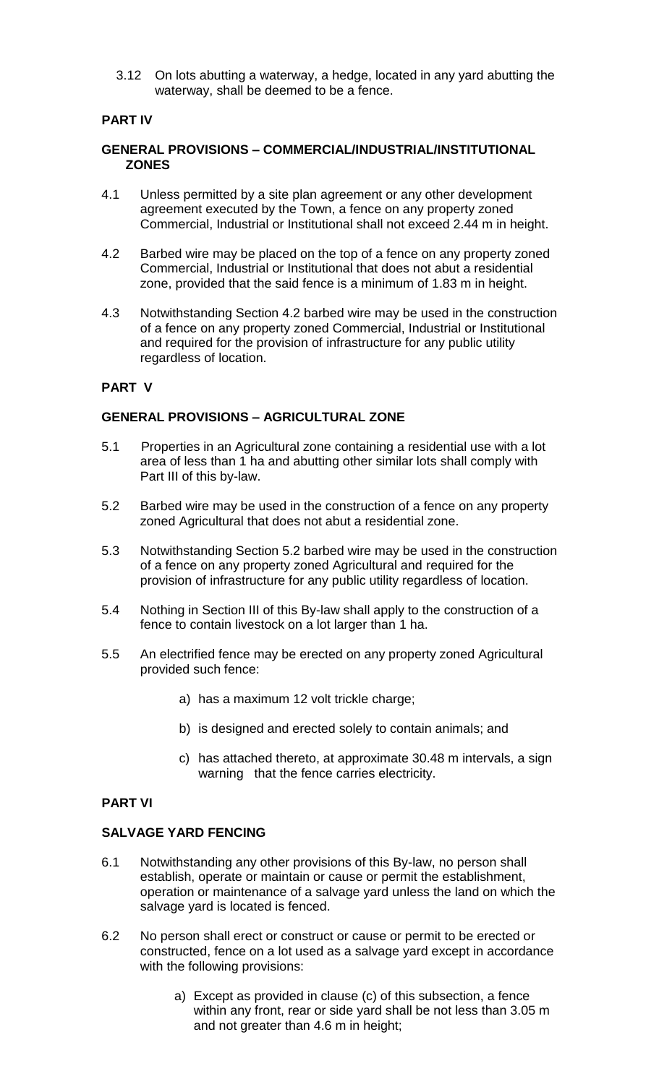3.12 On lots abutting a waterway, a hedge, located in any yard abutting the waterway, shall be deemed to be a fence.

# **PART IV**

### **GENERAL PROVISIONS – COMMERCIAL/INDUSTRIAL/INSTITUTIONAL ZONES**

- 4.1 Unless permitted by a site plan agreement or any other development agreement executed by the Town, a fence on any property zoned Commercial, Industrial or Institutional shall not exceed 2.44 m in height.
- 4.2 Barbed wire may be placed on the top of a fence on any property zoned Commercial, Industrial or Institutional that does not abut a residential zone, provided that the said fence is a minimum of 1.83 m in height.
- 4.3 Notwithstanding Section 4.2 barbed wire may be used in the construction of a fence on any property zoned Commercial, Industrial or Institutional and required for the provision of infrastructure for any public utility regardless of location.

# **PART V**

# **GENERAL PROVISIONS – AGRICULTURAL ZONE**

- 5.1 Properties in an Agricultural zone containing a residential use with a lot area of less than 1 ha and abutting other similar lots shall comply with Part III of this by-law.
- 5.2 Barbed wire may be used in the construction of a fence on any property zoned Agricultural that does not abut a residential zone.
- 5.3 Notwithstanding Section 5.2 barbed wire may be used in the construction of a fence on any property zoned Agricultural and required for the provision of infrastructure for any public utility regardless of location.
- 5.4 Nothing in Section III of this By-law shall apply to the construction of a fence to contain livestock on a lot larger than 1 ha.
- 5.5 An electrified fence may be erected on any property zoned Agricultural provided such fence:
	- a) has a maximum 12 volt trickle charge;
	- b) is designed and erected solely to contain animals; and
	- c) has attached thereto, at approximate 30.48 m intervals, a sign warning that the fence carries electricity.

# **PART VI**

#### **SALVAGE YARD FENCING**

- 6.1 Notwithstanding any other provisions of this By-law, no person shall establish, operate or maintain or cause or permit the establishment, operation or maintenance of a salvage yard unless the land on which the salvage yard is located is fenced.
- 6.2 No person shall erect or construct or cause or permit to be erected or constructed, fence on a lot used as a salvage yard except in accordance with the following provisions:
	- a) Except as provided in clause (c) of this subsection, a fence within any front, rear or side yard shall be not less than 3.05 m and not greater than 4.6 m in height;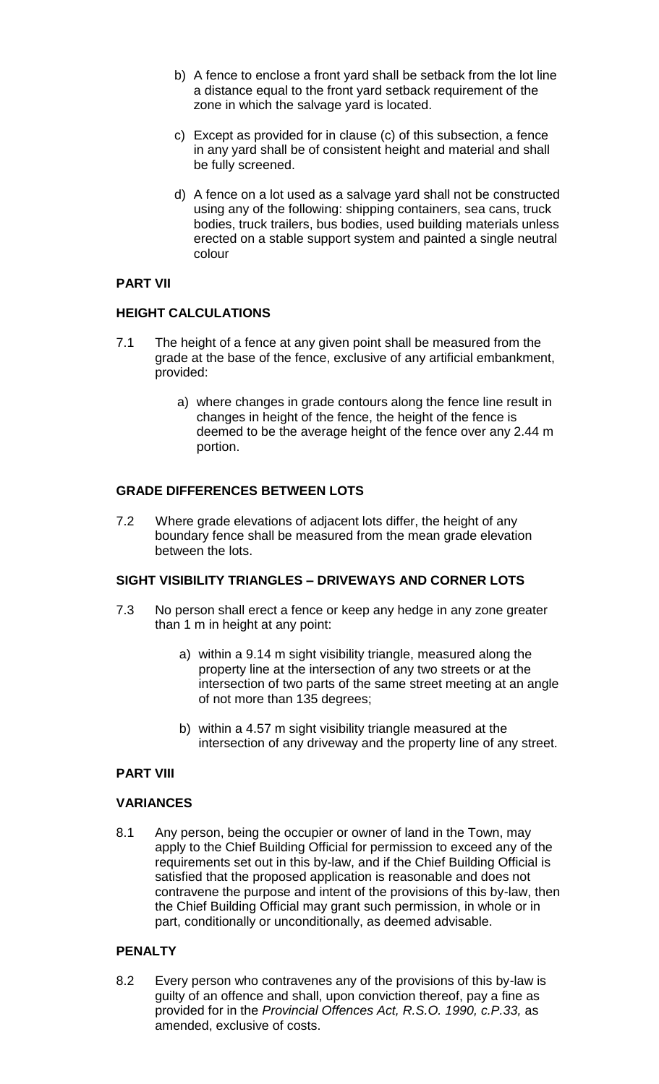- b) A fence to enclose a front yard shall be setback from the lot line a distance equal to the front yard setback requirement of the zone in which the salvage yard is located.
- c) Except as provided for in clause (c) of this subsection, a fence in any yard shall be of consistent height and material and shall be fully screened.
- d) A fence on a lot used as a salvage yard shall not be constructed using any of the following: shipping containers, sea cans, truck bodies, truck trailers, bus bodies, used building materials unless erected on a stable support system and painted a single neutral colour

# **PART VII**

# **HEIGHT CALCULATIONS**

- 7.1 The height of a fence at any given point shall be measured from the grade at the base of the fence, exclusive of any artificial embankment, provided:
	- a) where changes in grade contours along the fence line result in changes in height of the fence, the height of the fence is deemed to be the average height of the fence over any 2.44 m portion.

# **GRADE DIFFERENCES BETWEEN LOTS**

7.2 Where grade elevations of adjacent lots differ, the height of any boundary fence shall be measured from the mean grade elevation between the lots.

# **SIGHT VISIBILITY TRIANGLES – DRIVEWAYS AND CORNER LOTS**

- 7.3 No person shall erect a fence or keep any hedge in any zone greater than 1 m in height at any point:
	- a) within a 9.14 m sight visibility triangle, measured along the property line at the intersection of any two streets or at the intersection of two parts of the same street meeting at an angle of not more than 135 degrees;
	- b) within a 4.57 m sight visibility triangle measured at the intersection of any driveway and the property line of any street.

# **PART VIII**

# **VARIANCES**

8.1 Any person, being the occupier or owner of land in the Town, may apply to the Chief Building Official for permission to exceed any of the requirements set out in this by-law, and if the Chief Building Official is satisfied that the proposed application is reasonable and does not contravene the purpose and intent of the provisions of this by-law, then the Chief Building Official may grant such permission, in whole or in part, conditionally or unconditionally, as deemed advisable.

# **PENALTY**

8.2 Every person who contravenes any of the provisions of this by-law is guilty of an offence and shall, upon conviction thereof, pay a fine as provided for in the *Provincial Offences Act, R.S.O. 1990, c.P.33,* as amended, exclusive of costs.